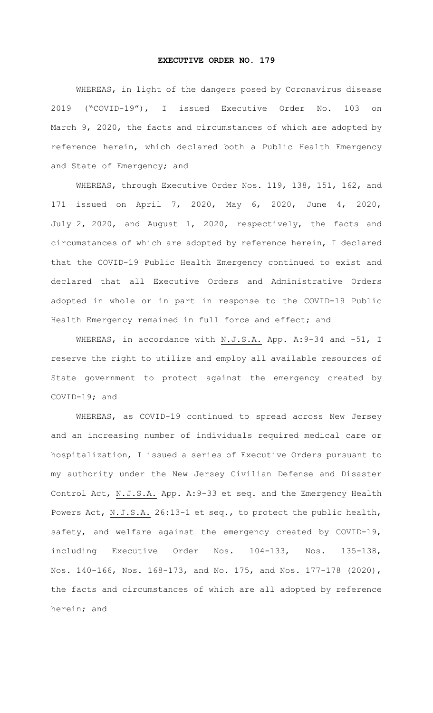## **EXECUTIVE ORDER NO. 179**

WHEREAS, in light of the dangers posed by Coronavirus disease 2019 ("COVID-19"), I issued Executive Order No. 103 on March 9, 2020, the facts and circumstances of which are adopted by reference herein, which declared both a Public Health Emergency and State of Emergency; and

WHEREAS, through Executive Order Nos. 119, 138, 151, 162, and 171 issued on April 7, 2020, May 6, 2020, June 4, 2020, July 2, 2020, and August 1, 2020, respectively, the facts and circumstances of which are adopted by reference herein, I declared that the COVID-19 Public Health Emergency continued to exist and declared that all Executive Orders and Administrative Orders adopted in whole or in part in response to the COVID-19 Public Health Emergency remained in full force and effect; and

WHEREAS, in accordance with N.J.S.A. App. A: 9-34 and -51, I reserve the right to utilize and employ all available resources of State government to protect against the emergency created by COVID-19; and

WHEREAS, as COVID-19 continued to spread across New Jersey and an increasing number of individuals required medical care or hospitalization, I issued a series of Executive Orders pursuant to my authority under the New Jersey Civilian Defense and Disaster Control Act, N.J.S.A. App. A:9-33 et seq. and the Emergency Health Powers Act, N.J.S.A. 26:13-1 et seq., to protect the public health, safety, and welfare against the emergency created by COVID-19, including Executive Order Nos. 104-133, Nos. 135-138, Nos. 140-166, Nos. 168-173, and No. 175, and Nos. 177-178 (2020), the facts and circumstances of which are all adopted by reference herein; and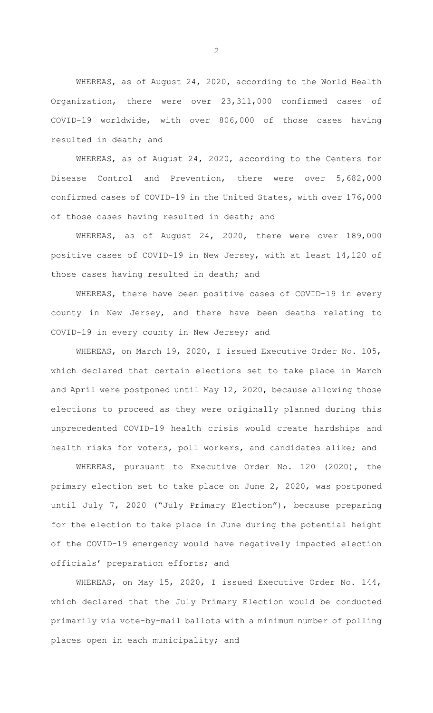WHEREAS, as of August 24, 2020, according to the World Health Organization, there were over 23,311,000 confirmed cases of COVID-19 worldwide, with over 806,000 of those cases having resulted in death; and

WHEREAS, as of August 24, 2020, according to the Centers for Disease Control and Prevention, there were over 5,682,000 confirmed cases of COVID-19 in the United States, with over 176,000 of those cases having resulted in death; and

WHEREAS, as of August 24, 2020, there were over 189,000 positive cases of COVID-19 in New Jersey, with at least 14,120 of those cases having resulted in death; and

WHEREAS, there have been positive cases of COVID-19 in every county in New Jersey, and there have been deaths relating to COVID-19 in every county in New Jersey; and

WHEREAS, on March 19, 2020, I issued Executive Order No. 105, which declared that certain elections set to take place in March and April were postponed until May 12, 2020, because allowing those elections to proceed as they were originally planned during this unprecedented COVID-19 health crisis would create hardships and health risks for voters, poll workers, and candidates alike; and

WHEREAS, pursuant to Executive Order No. 120 (2020), the primary election set to take place on June 2, 2020, was postponed until July 7, 2020 ("July Primary Election"), because preparing for the election to take place in June during the potential height of the COVID-19 emergency would have negatively impacted election officials' preparation efforts; and

WHEREAS, on May 15, 2020, I issued Executive Order No. 144, which declared that the July Primary Election would be conducted primarily via vote-by-mail ballots with a minimum number of polling places open in each municipality; and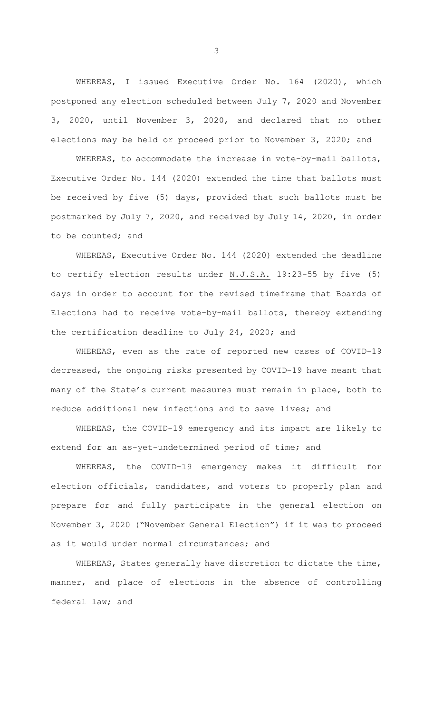WHEREAS, I issued Executive Order No. 164 (2020), which postponed any election scheduled between July 7, 2020 and November 3, 2020, until November 3, 2020, and declared that no other elections may be held or proceed prior to November 3, 2020; and

WHEREAS, to accommodate the increase in vote-by-mail ballots, Executive Order No. 144 (2020) extended the time that ballots must be received by five (5) days, provided that such ballots must be postmarked by July 7, 2020, and received by July 14, 2020, in order to be counted; and

WHEREAS, Executive Order No. 144 (2020) extended the deadline to certify election results under N.J.S.A. 19:23-55 by five (5) days in order to account for the revised timeframe that Boards of Elections had to receive vote-by-mail ballots, thereby extending the certification deadline to July 24, 2020; and

WHEREAS, even as the rate of reported new cases of COVID-19 decreased, the ongoing risks presented by COVID-19 have meant that many of the State's current measures must remain in place, both to reduce additional new infections and to save lives; and

WHEREAS, the COVID-19 emergency and its impact are likely to extend for an as-yet-undetermined period of time; and

WHEREAS, the COVID-19 emergency makes it difficult for election officials, candidates, and voters to properly plan and prepare for and fully participate in the general election on November 3, 2020 ("November General Election") if it was to proceed as it would under normal circumstances; and

WHEREAS, States generally have discretion to dictate the time, manner, and place of elections in the absence of controlling federal law; and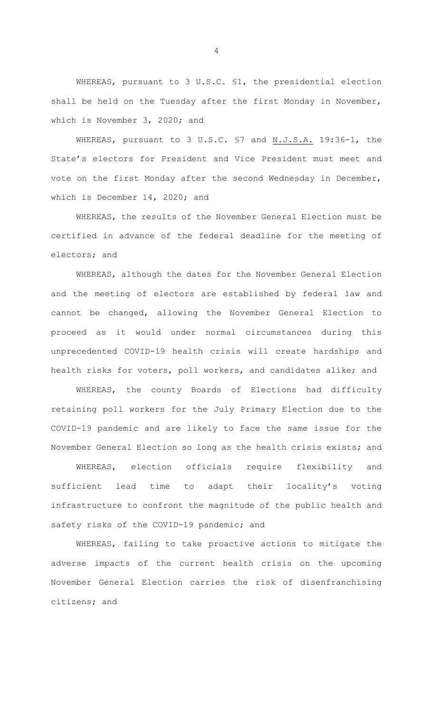WHEREAS, pursuant to 3 U.S.C. §1, the presidential election shall be held on the Tuesday after the first Monday in November, which is November 3, 2020; and

WHEREAS, pursuant to 3 U.S.C. §7 and N.J.S.A. 19:36-1, the State's electors for President and Vice President must meet and vote on the first Monday after the second Wednesday in December, which is December 14, 2020; and

WHEREAS, the results of the November General Election must be certified in advance of the federal deadline for the meeting of electors; and

WHEREAS, although the dates for the November General Election and the meeting of electors are established by federal law and cannot be changed, allowing the November General Election to proceed as it would under normal circumstances during this unprecedented COVID-19 health crisis will create hardships and health risks for voters, poll workers, and candidates alike; and

WHEREAS, the county Boards of Elections had difficulty retaining poll workers for the July Primary Election due to the COVID-19 pandemic and are likely to face the same issue for the November General Election so long as the health crisis exists; and

WHEREAS, election officials require flexibility and sufficient lead time to adapt their locality's voting infrastructure to confront the magnitude of the public health and safety risks of the COVID-19 pandemic; and

WHEREAS, failing to take proactive actions to mitigate the adverse impacts of the current health crisis on the upcoming November General Election carries the risk of disenfranchising citizens; and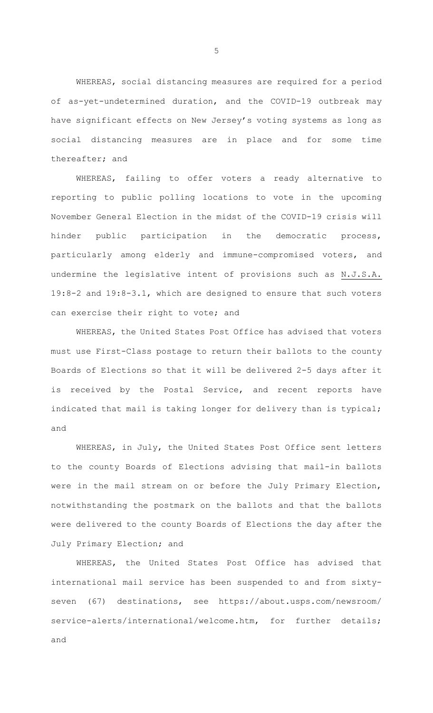WHEREAS, social distancing measures are required for a period of as-yet-undetermined duration, and the COVID-19 outbreak may have significant effects on New Jersey's voting systems as long as social distancing measures are in place and for some time thereafter; and

WHEREAS, failing to offer voters a ready alternative to reporting to public polling locations to vote in the upcoming November General Election in the midst of the COVID-19 crisis will hinder public participation in the democratic process, particularly among elderly and immune-compromised voters, and undermine the legislative intent of provisions such as N.J.S.A. 19:8-2 and 19:8-3.1, which are designed to ensure that such voters can exercise their right to vote; and

WHEREAS, the United States Post Office has advised that voters must use First-Class postage to return their ballots to the county Boards of Elections so that it will be delivered 2-5 days after it is received by the Postal Service, and recent reports have indicated that mail is taking longer for delivery than is typical; and

WHEREAS, in July, the United States Post Office sent letters to the county Boards of Elections advising that mail-in ballots were in the mail stream on or before the July Primary Election, notwithstanding the postmark on the ballots and that the ballots were delivered to the county Boards of Elections the day after the July Primary Election; and

WHEREAS, the United States Post Office has advised that international mail service has been suspended to and from sixtyseven (67) destinations, see https://about.usps.com/newsroom/ service-alerts/international/welcome.htm, for further details; and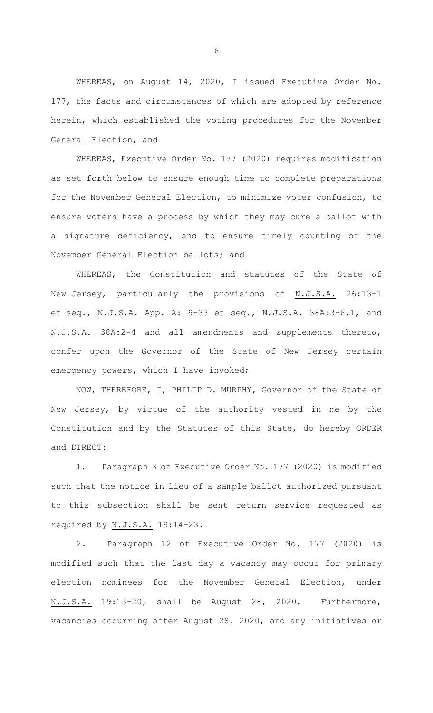WHEREAS, on August 14, 2020, I issued Executive Order No. 177, the facts and circumstances of which are adopted by reference herein, which established the voting procedures for the November General Election; and

WHEREAS, Executive Order No. 177 (2020) requires modification as set forth below to ensure enough time to complete preparations for the November General Election, to minimize voter confusion, to ensure voters have a process by which they may cure a ballot with a signature deficiency, and to ensure timely counting of the November General Election ballots; and

WHEREAS, the Constitution and statutes of the State of New Jersey, particularly the provisions of N.J.S.A. 26:13-1 et seq., N.J.S.A. App. A: 9-33 et seq., N.J.S.A. 38A:3-6.1, and N.J.S.A. 38A:2-4 and all amendments and supplements thereto, confer upon the Governor of the State of New Jersey certain emergency powers, which I have invoked;

NOW, THEREFORE, I, PHILIP D. MURPHY, Governor of the State of New Jersey, by virtue of the authority vested in me by the Constitution and by the Statutes of this State, do hereby ORDER and DIRECT:

1. Paragraph 3 of Executive Order No. 177 (2020) is modified such that the notice in lieu of a sample ballot authorized pursuant to this subsection shall be sent return service requested as required by N.J.S.A. 19:14-23.

2. Paragraph 12 of Executive Order No. 177 (2020) is modified such that the last day a vacancy may occur for primary election nominees for the November General Election, under N.J.S.A. 19:13-20, shall be August 28, 2020. Furthermore, vacancies occurring after August 28, 2020, and any initiatives or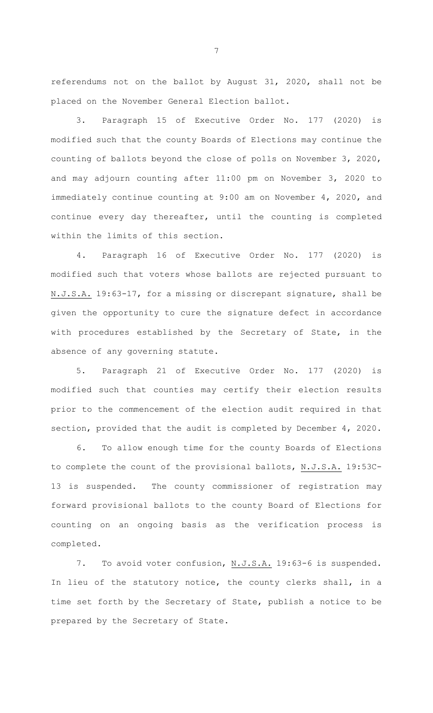referendums not on the ballot by August 31, 2020, shall not be placed on the November General Election ballot.

3. Paragraph 15 of Executive Order No. 177 (2020) is modified such that the county Boards of Elections may continue the counting of ballots beyond the close of polls on November 3, 2020, and may adjourn counting after 11:00 pm on November 3, 2020 to immediately continue counting at 9:00 am on November 4, 2020, and continue every day thereafter, until the counting is completed within the limits of this section.

4. Paragraph 16 of Executive Order No. 177 (2020) is modified such that voters whose ballots are rejected pursuant to N.J.S.A. 19:63-17, for a missing or discrepant signature, shall be given the opportunity to cure the signature defect in accordance with procedures established by the Secretary of State, in the absence of any governing statute.

5. Paragraph 21 of Executive Order No. 177 (2020) is modified such that counties may certify their election results prior to the commencement of the election audit required in that section, provided that the audit is completed by December 4, 2020.

6. To allow enough time for the county Boards of Elections to complete the count of the provisional ballots, N.J.S.A. 19:53C-13 is suspended. The county commissioner of registration may forward provisional ballots to the county Board of Elections for counting on an ongoing basis as the verification process is completed.

7. To avoid voter confusion, N.J.S.A. 19:63-6 is suspended. In lieu of the statutory notice, the county clerks shall, in a time set forth by the Secretary of State, publish a notice to be prepared by the Secretary of State.